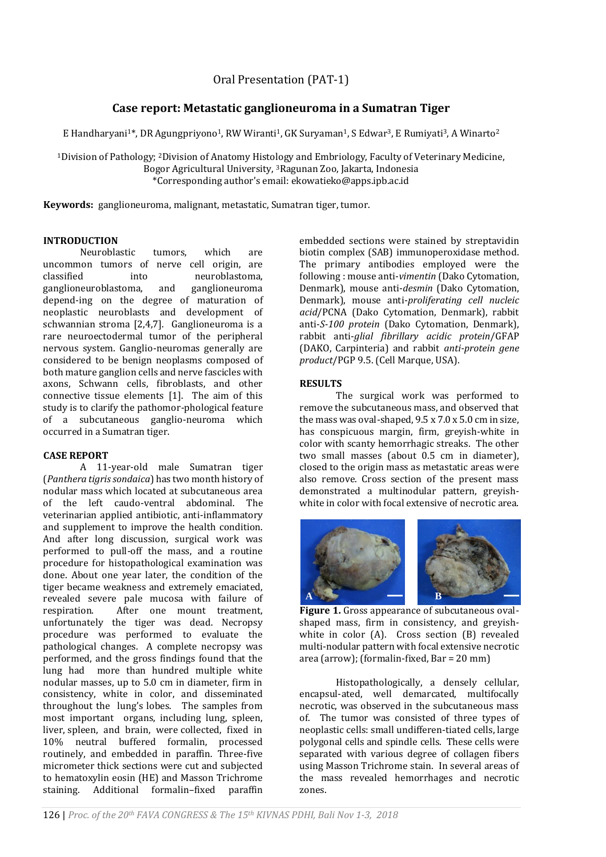# **Case report: Metastatic ganglioneuroma in a Sumatran Tiger**

E Handharyani<sup>1\*</sup>, DR Agungpriyono<sup>1</sup>, RW Wiranti<sup>1</sup>, GK Suryaman<sup>1</sup>, S Edwar<sup>3</sup>, E Rumiyati<sup>3</sup>, A Winarto<sup>2</sup>

<sup>1</sup>Division of Pathology; 2Division of Anatomy Histology and Embriology, Faculty of Veterinary Medicine, Bogor Agricultural University, 3Ragunan Zoo, Jakarta, Indonesia \*Corresponding author's email: ekowatieko@apps.ipb.ac.id

**Keywords:** ganglioneuroma, malignant, metastatic, Sumatran tiger, tumor.

### **INTRODUCTION**

Neuroblastic tumors, which are uncommon tumors of nerve cell origin, are classified into neuroblastoma, ganglioneuroblastoma, and ganglioneuroma depend-ing on the degree of maturation of neoplastic neuroblasts and development of schwannian stroma [2,4,7]. Ganglioneuroma is a rare neuroectodermal tumor of the peripheral nervous system. Ganglio-neuromas generally are considered to be benign neoplasms composed of both mature ganglion cells and nerve fascicles with axons, Schwann cells, fibroblasts, and other connective tissue elements [1]. The aim of this study is to clarify the pathomor-phological feature of a subcutaneous ganglio-neuroma which occurred in a Sumatran tiger.

## **CASE REPORT**

A 11-year-old male Sumatran tiger (*Panthera tigris sondaica*) has two month history of nodular mass which located at subcutaneous area of the left caudo-ventral abdominal. The veterinarian applied antibiotic, anti-inflammatory and supplement to improve the health condition. And after long discussion, surgical work was performed to pull-off the mass, and a routine procedure for histopathological examination was done. About one year later, the condition of the tiger became weakness and extremely emaciated, revealed severe pale mucosa with failure of respiration. After one mount treatment, unfortunately the tiger was dead. Necropsy procedure was performed to evaluate the pathological changes. A complete necropsy was performed, and the gross findings found that the lung had more than hundred multiple white nodular masses, up to 5.0 cm in diameter, firm in consistency, white in color, and disseminated throughout the lung's lobes. The samples from most important organs, including lung, spleen, liver, spleen, and brain, were collected, fixed in 10% neutral buffered formalin, processed routinely, and embedded in paraffin. Three-five micrometer thick sections were cut and subjected to hematoxylin eosin (HE) and Masson Trichrome staining. Additional formalin–fixed paraffin embedded sections were stained by streptavidin biotin complex (SAB) immunoperoxidase method. The primary antibodies employed were the following : mouse anti-*vimentin* (Dako Cytomation, Denmark), mouse anti-*desmin* (Dako Cytomation, Denmark), mouse anti-*proliferating cell nucleic acid*/PCNA (Dako Cytomation, Denmark), rabbit anti-*S-100 protein* (Dako Cytomation, Denmark), rabbit anti-*glial fibrillary acidic protein*/GFAP (DAKO, Carpinteria) and rabbit *anti-protein gene product*/PGP 9.5. (Cell Marque, USA).

# **RESULTS**

The surgical work was performed to remove the subcutaneous mass, and observed that the mass was oval-shaped, 9.5 x 7.0 x 5.0 cm in size, has conspicuous margin, firm, greyish-white in color with scanty hemorrhagic streaks. The other two small masses (about 0.5 cm in diameter), closed to the origin mass as metastatic areas were also remove. Cross section of the present mass demonstrated a multinodular pattern, greyishwhite in color with focal extensive of necrotic area.



**Figure 1.** Gross appearance of subcutaneous ovalshaped mass, firm in consistency, and greyishwhite in color (A). Cross section (B) revealed multi-nodular pattern with focal extensive necrotic area (arrow); (formalin-fixed, Bar = 20 mm)

Histopathologically, a densely cellular, encapsul-ated, well demarcated, multifocally necrotic, was observed in the subcutaneous mass of. The tumor was consisted of three types of neoplastic cells: small undifferen-tiated cells, large polygonal cells and spindle cells. These cells were separated with various degree of collagen fibers using Masson Trichrome stain. In several areas of the mass revealed hemorrhages and necrotic zones.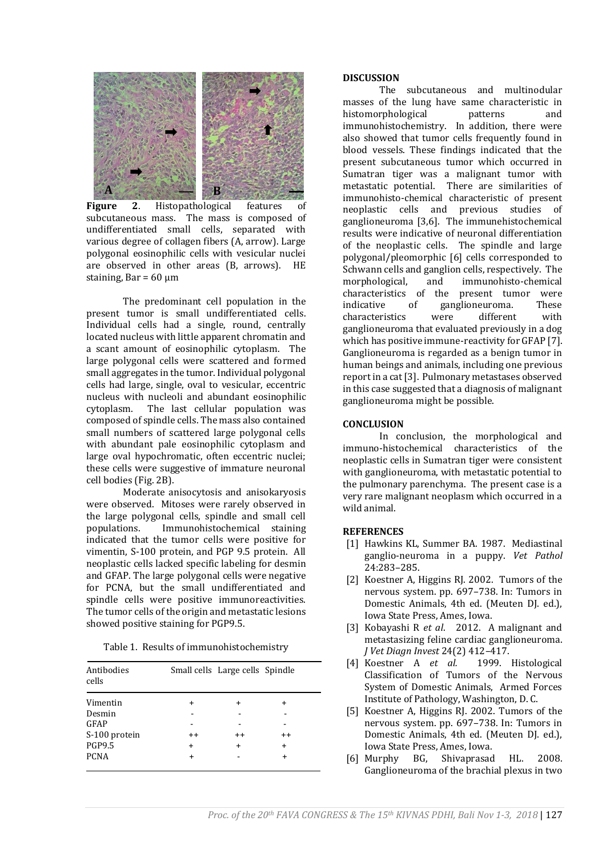

**Figure** 2. Histopathological features of subcutaneous mass. The mass is composed of undifferentiated small cells, separated with various degree of collagen fibers (A, arrow). Large polygonal eosinophilic cells with vesicular nuclei are observed in other areas (B, arrows). HE staining,  $Bar = 60 \text{ µm}$ 

The predominant cell population in the present tumor is small undifferentiated cells. Individual cells had a single, round, centrally located nucleus with little apparent chromatin and a scant amount of eosinophilic cytoplasm. The large polygonal cells were scattered and formed small aggregates in the tumor. Individual polygonal cells had large, single, oval to vesicular, eccentric nucleus with nucleoli and abundant eosinophilic cytoplasm. The last cellular population was composed of spindle cells. The mass also contained small numbers of scattered large polygonal cells with abundant pale eosinophilic cytoplasm and large oval hypochromatic, often eccentric nuclei; these cells were suggestive of immature neuronal cell bodies (Fig. 2B).

Moderate anisocytosis and anisokaryosis were observed. Mitoses were rarely observed in the large polygonal cells, spindle and small cell populations. Immunohistochemical staining indicated that the tumor cells were positive for vimentin, S-100 protein, and PGP 9.5 protein. All neoplastic cells lacked specific labeling for desmin and GFAP. The large polygonal cells were negative for PCNA, but the small undifferentiated and spindle cells were positive immunoreactivities. The tumor cells of the origin and metastatic lesions showed positive staining for PGP9.5.

|  |  | Table 1. Results of immunohistochemistry |  |  |
|--|--|------------------------------------------|--|--|
|--|--|------------------------------------------|--|--|

| Antibodies<br>cells |           | Small cells Large cells Spindle |         |
|---------------------|-----------|---------------------------------|---------|
| Vimentin            | $\ddot{}$ | $\div$                          | +       |
| Desmin              |           |                                 |         |
| GFAP                |           |                                 |         |
| S-100 protein       | $^{++}$   | $^{++}$                         | $^{++}$ |
| <b>PGP9.5</b>       | $\ddot{}$ | $\ddot{}$                       | +       |
| <b>PCNA</b>         | $\div$    |                                 |         |

#### **DISCUSSION**

The subcutaneous and multinodular masses of the lung have same characteristic in histomorphological patterns and immunohistochemistry. In addition, there were also showed that tumor cells frequently found in blood vessels. These findings indicated that the present subcutaneous tumor which occurred in Sumatran tiger was a malignant tumor with metastatic potential. There are similarities of immunohisto-chemical characteristic of present neoplastic cells and previous studies of ganglioneuroma [3,6]. The immunehistochemical results were indicative of neuronal differentiation of the neoplastic cells. The spindle and large polygonal/pleomorphic [6] cells corresponded to Schwann cells and ganglion cells, respectively. The morphological, and immunohisto-chemical characteristics of the present tumor were indicative of ganglioneuroma. These characteristics were different with ganglioneuroma that evaluated previously in a dog which has positive immune-reactivity for GFAP [7]. Ganglioneuroma is regarded as a benign tumor in human beings and animals, including one previous report in a cat [3]. Pulmonary metastases observed in this case suggested that a diagnosis of malignant ganglioneuroma might be possible.

### **CONCLUSION**

In conclusion, the morphological and immuno-histochemical characteristics of the neoplastic cells in Sumatran tiger were consistent with ganglioneuroma, with metastatic potential to the pulmonary parenchyma. The present case is a very rare malignant neoplasm which occurred in a wild animal.

### **REFERENCES**

- [1] Hawkins KL, Summer BA. 1987. Mediastinal ganglio-neuroma in a puppy. *Vet Pathol* 24:283–285.
- [2] Koestner A, Higgins RJ. 2002. Tumors of the nervous system. pp. 697–738. In: Tumors in Domestic Animals, 4th ed. (Meuten DJ. ed.), Iowa State Press, Ames, Iowa.
- [3] Kobayashi R *et al*. 2012. A malignant and metastasizing feline cardiac ganglioneuroma. *J Vet Diagn Invest* 24(2) 412–417.
- [4] Koestner A *et al.* 1999. Histological Classification of Tumors of the Nervous System of Domestic Animals, Armed Forces Institute of Pathology, Washington, D. C.
- [5] Koestner A, Higgins RJ. 2002. Tumors of the nervous system. pp. 697–738. In: Tumors in Domestic Animals, 4th ed. (Meuten DJ. ed.), Iowa State Press, Ames, Iowa.
- [6] Murphy BG, Shivaprasad HL. 2008. Ganglioneuroma of the brachial plexus in two